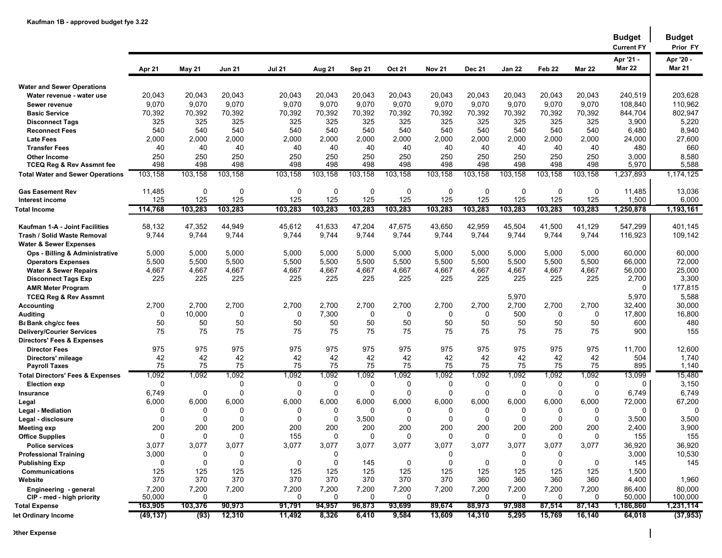|                                             |               |                    |                    |                 |                  |                    |               |                  |               |               |                   |               | <b>Budget</b><br><b>Current FY</b> | <b>Budget</b><br>Prior FY  |
|---------------------------------------------|---------------|--------------------|--------------------|-----------------|------------------|--------------------|---------------|------------------|---------------|---------------|-------------------|---------------|------------------------------------|----------------------------|
|                                             | Apr 21        | <b>May 21</b>      | <b>Jun 21</b>      | <b>Jul 21</b>   | Aug 21           | Sep 21             | <b>Oct 21</b> | <b>Nov 21</b>    | <b>Dec 21</b> | <b>Jan 22</b> | Feb <sub>22</sub> | <b>Mar 22</b> | Apr '21 -<br><b>Mar 22</b>         | Apr '20 -<br><b>Mar 21</b> |
| <b>Water and Sewer Operations</b>           |               |                    |                    |                 |                  |                    |               |                  |               |               |                   |               |                                    |                            |
| Water revenue - water use                   | 20,043        | 20,043             | 20,043             | 20,043          | 20,043           | 20,043             | 20,043        | 20,043           | 20,043        | 20,043        | 20,043            | 20,043        | 240,519                            | 203,628                    |
| Sewer revenue                               | 9,070         | 9,070              | 9,070              | 9,070           | 9,070            | 9,070              | 9,070         | 9,070            | 9,070         | 9,070         | 9,070             | 9,070         | 108,840                            | 110,962                    |
| <b>Basic Service</b>                        | 70,392        | 70,392             | 70,392             | 70,392          | 70,392           | 70,392             | 70,392        | 70,392           | 70,392        | 70,392        | 70,392            | 70,392        | 844,704                            | 802,947                    |
| <b>Disconnect Tags</b>                      | 325           | 325                | 325                | 325             | 325              | 325                | 325           | 325              | 325           | 325           | 325               | 325           | 3,900                              | 5,220                      |
| <b>Reconnect Fees</b>                       | 540           | 540                | 540                | 540             | 540              | 540                | 540           | 540              | 540           | 540           | 540               | 540           | 6,480                              | 8,940                      |
| <b>Late Fees</b>                            | 2,000         | 2,000              | 2,000              | 2,000           | 2,000            | 2,000              | 2,000         | 2,000            | 2,000         | 2,000         | 2,000             | 2,000         | 24,000                             | 27,600                     |
| <b>Transfer Fees</b>                        | 40            | 40                 | 40                 | 40              | 40               | 40                 | 40            | 40               | 40            | 40            | 40                | 40            | 480                                | 660                        |
| <b>Other Income</b>                         | 250           | 250                | 250                | 250             | 250              | 250                | 250           | 250              | 250           | 250           | 250               | 250           | 3,000                              | 8,580                      |
| <b>TCEQ Reg &amp; Rev Assmnt fee</b>        | 498           | 498                | 498                | 498             | 498              | 498                | 498           | 498              | 498           | 498           | 498               | 498           | 5,970                              | 5,588                      |
| <b>Total Water and Sewer Operations</b>     | 103,158       | 103,158            | 103,158            | 103,158         | 103,158          | 103,158            | 103,158       | 103,158          | 103,158       | 103,158       | 103,158           | 103,158       | 1,237,893                          | 1,174,125                  |
| <b>Gas Easement Rev</b><br>Interest income  | 11,485<br>125 | $\mathbf 0$<br>125 | $\mathbf 0$<br>125 | $\Omega$<br>125 | 0<br>125         | $\mathbf 0$<br>125 | 0<br>125      | 0<br>125         | 0<br>125      | 0<br>125      | 0<br>125          | 0<br>125      | 11,485<br>1,500                    | 13,036<br>6,000            |
| <b>Total Income</b>                         | 114,768       | 103,283            | 103,283            | 103,283         | 103,283          | 103,283            | 103,283       | 103,283          | 103,283       | 103,283       | 103,283           | 103,283       | 1,250,878                          | 1,193,161                  |
| Kaufman 1-A - Joint Facilities              | 58,132        | 47,352             | 44,949             | 45,612          | 41,633           | 47,204             | 47,675        | 43,650           | 42,959        | 45,504        | 41,500            | 41,129        | 547.299                            | 401,145                    |
| Trash / Solid Waste Removal                 | 9,744         | 9,744              | 9,744              | 9,744           | 9,744            | 9,744              | 9,744         | 9,744            | 9,744         | 9,744         | 9,744             | 9,744         | 116,923                            | 109,142                    |
| <b>Water &amp; Sewer Expenses</b>           |               |                    |                    |                 |                  |                    |               |                  |               |               |                   |               |                                    |                            |
| Ops - Billing & Administrative              | 5,000         | 5,000              | 5,000              | 5,000           | 5,000            | 5,000              | 5,000         | 5,000            | 5,000         | 5,000         | 5,000             | 5,000         | 60,000                             | 60,000                     |
| <b>Operators Expenses</b>                   | 5,500         | 5,500              | 5,500              | 5,500           | 5,500            | 5,500              | 5,500         | 5,500            | 5,500         | 5,500         | 5,500             | 5,500         | 66,000                             | 72,000                     |
| <b>Water &amp; Sewer Repairs</b>            | 4,667         | 4,667              | 4,667              | 4,667           | 4,667            | 4,667              | 4,667         | 4,667            | 4,667         | 4,667         | 4,667             | 4,667         | 56,000                             | 25,000                     |
| <b>Disconnect Tags Exp</b>                  | 225           | 225                | 225                | 225             | 225              | 225                | 225           | 225              | 225           | 225           | 225               | 225           | 2,700                              | 3,300                      |
| <b>AMR Meter Program</b>                    |               |                    |                    |                 |                  |                    |               |                  |               |               |                   |               | 0                                  | 177,815                    |
| <b>TCEQ Reg &amp; Rev Assmnt</b>            |               |                    |                    |                 |                  |                    |               |                  |               | 5,970         |                   |               | 5,970                              | 5,588                      |
| Accounting                                  | 2,700         | 2,700              | 2,700              | 2,700           | 2,700            | 2,700              | 2,700         | 2,700            | 2,700         | 2,700         | 2,700             | 2,700         | 32,400                             | 30,000                     |
| Auditing                                    | 0             | 10,000             | $\mathbf 0$        | $\Omega$        | 7,300            | 0                  | 0             | 0                | 0             | 500           | 0                 | 0             | 17,800                             | 16,800                     |
| <b>B</b> ank chg/cc fees                    | 50            | 50                 | 50                 | 50              | 50               | 50                 | 50            | 50               | 50            | 50            | 50                | 50            | 600                                | 480                        |
| <b>Delivery/Courier Services</b>            | 75            | 75                 | 75                 | 75              | 75               | 75                 | 75            | 75               | 75            | 75            | 75                | 75            | 900                                | 155                        |
| <b>Directors' Fees &amp; Expenses</b>       |               |                    |                    |                 |                  |                    |               |                  |               |               |                   |               |                                    |                            |
| <b>Director Fees</b>                        | 975           | 975                | 975                | 975             | 975              | 975                | 975           | 975              | 975           | 975           | 975               | 975           | 11,700                             | 12,600                     |
| Directors' mileage                          | 42            | 42                 | 42                 | 42              | 42               | 42                 | 42            | 42               | 42            | 42            | 42                | 42            | 504                                | 1,740                      |
| <b>Payroll Taxes</b>                        | 75            | 75                 | 75                 | 75              | 75               | 75                 | 75            | 75               | 75            | 75            | 75                | 75            | 895                                | 1,140                      |
| <b>Total Directors' Fees &amp; Expenses</b> | 1,092         | 1,092              | 1,092              | 1,092           | 1,092            | 1,092              | 1,092         | 1,092            | 1,092         | 1,092         | 1,092             | 1,092         | 13,099                             | 15,480                     |
| <b>Election exp</b>                         | 0             |                    | 0                  | 0               | 0                | $\mathbf 0$        | $\mathbf 0$   | 0                | 0             | 0             | 0                 | 0             | 0                                  | 3,150                      |
| Insurance                                   | 6,749         | 0                  | $\mathbf 0$        | $\Omega$        | $\Omega$         | $\mathbf 0$        | $\mathbf 0$   | $\Omega$         | $\Omega$      | 0             | 0                 | $\Omega$      | 6,749                              | 6,749                      |
| Legal                                       | 6,000         | 6,000              | 6,000              | 6,000           | 6,000            | 6,000              | 6,000         | 6,000            | 6,000         | 6,000         | 6,000             | 6,000         | 72,000                             | 67,200                     |
| <b>Legal - Mediation</b>                    | $\Omega$      | 0                  | 0                  | 0               | 0                | $\mathbf 0$        | 0             | $\Omega$         | 0             | 0             | 0                 | 0             | $\Omega$                           | 0                          |
| Legal - disclosure                          | $\Omega$      | 0                  | $\mathbf 0$        | $\Omega$        | 0                | 3,500              | $\mathbf 0$   | 0                | $\mathbf 0$   | 0             | 0                 | $\Omega$      | 3,500                              | 3,500                      |
| <b>Meeting exp</b>                          | 200           | 200                | 200                | 200             | 200              | 200                | 200           | 200              | 200           | 200           | 200               | 200           | 2,400                              | 3,900                      |
| <b>Office Supplies</b>                      | 0             | 0                  | 0                  | 155             | $\Omega$         | $\mathbf 0$        | 0             | $\Omega$         | $\mathbf{0}$  | 0             | 0                 | $\Omega$      | 155                                | 155                        |
| <b>Police services</b>                      | 3,077         | 3,077              | 3,077              | 3,077           | 3,077            | 3,077              | 3,077         | 3,077            | 3,077         | 3,077         | 3,077             | 3,077         | 36,920                             | 36,920                     |
| <b>Professional Training</b>                | 3,000         | 0<br>$\mathbf 0$   | 0<br>$\mathbf 0$   |                 | 0<br>$\mathbf 0$ |                    |               | 0<br>$\mathbf 0$ |               | 0<br>0        | 0<br>0            |               | 3,000                              | 10,530                     |
| <b>Publishing Exp</b>                       | 0<br>125      | 125                | 125                | 0<br>125        | 125              | 145<br>125         | 0<br>125      | 125              | 0<br>125      | 125           | 125               | 0<br>125      | 145<br>1,500                       | 145                        |
| <b>Communications</b><br>Website            | 370           | 370                | 370                | 370             | 370              | 370                | 370           | 370              | 360           | 360           | 360               | 360           | 4,400                              | 1,960                      |
| Engineering - general                       | 7,200         | 7,200              | 7,200              | 7,200           | 7,200            | 7,200              | 7,200         | 7,200            | 7,200         | 7,200         | 7,200             | 7,200         | 86,400                             | 80,000                     |
| CIP - med - high priority                   | 50,000        | 0                  |                    | 0               | 0                | 0                  | 0             |                  | $\Omega$      | 0             | 0                 | 0             | 50,000                             | 100,000                    |
| <b>Total Expense</b>                        | 163,905       | 103,376            | 90,973             | 91,791          | 94,957           | 96,873             | 93,699        | 89,674           | 88,973        | 97,988        | 87,514            | 87,143        | 1,186,860                          | 1,231,114                  |
| let Ordinary Income                         | (49, 137)     | (93)               | 12,310             | 11,492          | 8,326            | 6,410              | 9,584         | 13,609           | 14,310        | 5,295         | 15,769            | 16,140        | 64,018                             | (37, 953)                  |

 $\overline{\phantom{a}}$